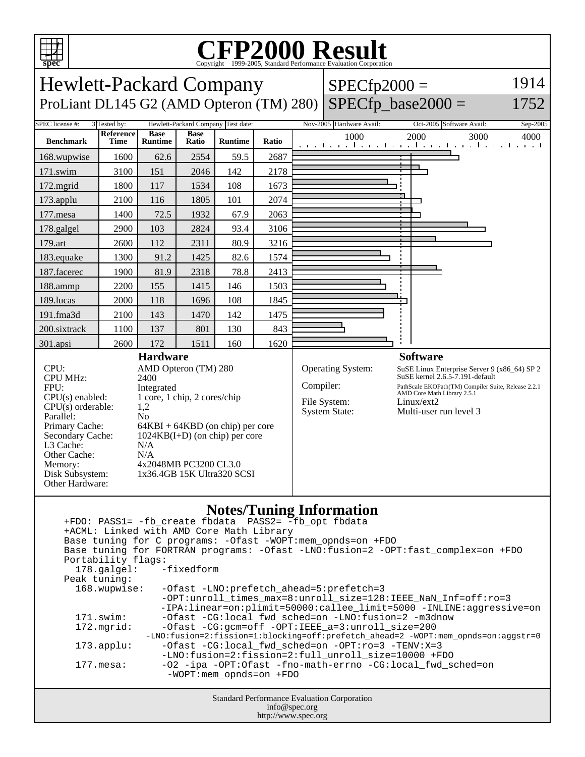

## C<sub>opyright</sub> ©1999-2005, Standard Performance Evaluation Corporation